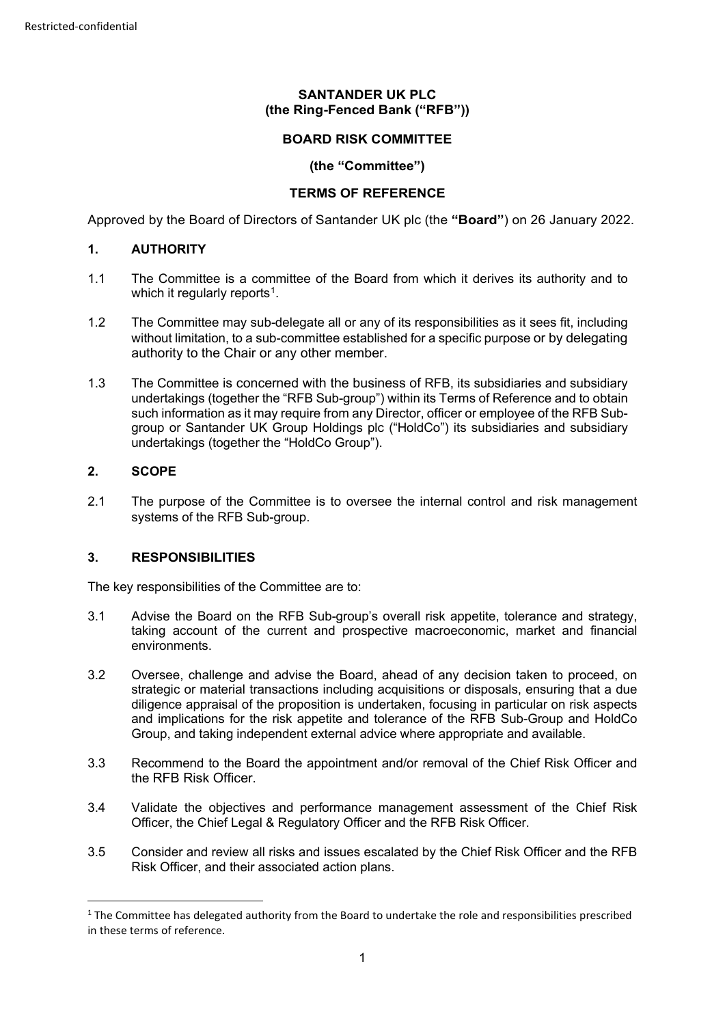## **SANTANDER UK PLC (the Ring-Fenced Bank ("RFB"))**

### **BOARD RISK COMMITTEE**

### **(the "Committee")**

### **TERMS OF REFERENCE**

Approved by the Board of Directors of Santander UK plc (the **"Board"**) on 26 January 2022.

### **1. AUTHORITY**

- 1.1 The Committee is a committee of the Board from which it derives its authority and to which it regularly reports<sup>[1](#page-0-0)</sup>.
- 1.2 The Committee may sub-delegate all or any of its responsibilities as it sees fit, including without limitation, to a sub-committee established for a specific purpose or by delegating authority to the Chair or any other member.
- 1.3 The Committee is concerned with the business of RFB, its subsidiaries and subsidiary undertakings (together the "RFB Sub-group") within its Terms of Reference and to obtain such information as it may require from any Director, officer or employee of the RFB Subgroup or Santander UK Group Holdings plc ("HoldCo") its subsidiaries and subsidiary undertakings (together the "HoldCo Group").

#### **2. SCOPE**

2.1 The purpose of the Committee is to oversee the internal control and risk management systems of the RFB Sub-group.

### **3. RESPONSIBILITIES**

The key responsibilities of the Committee are to:

- 3.1 Advise the Board on the RFB Sub-group's overall risk appetite, tolerance and strategy, taking account of the current and prospective macroeconomic, market and financial environments.
- 3.2 Oversee, challenge and advise the Board, ahead of any decision taken to proceed, on strategic or material transactions including acquisitions or disposals, ensuring that a due diligence appraisal of the proposition is undertaken, focusing in particular on risk aspects and implications for the risk appetite and tolerance of the RFB Sub-Group and HoldCo Group, and taking independent external advice where appropriate and available.
- 3.3 Recommend to the Board the appointment and/or removal of the Chief Risk Officer and the RFB Risk Officer.
- 3.4 Validate the objectives and performance management assessment of the Chief Risk Officer, the Chief Legal & Regulatory Officer and the RFB Risk Officer.
- 3.5 Consider and review all risks and issues escalated by the Chief Risk Officer and the RFB Risk Officer, and their associated action plans.

<span id="page-0-0"></span><sup>&</sup>lt;sup>1</sup> The Committee has delegated authority from the Board to undertake the role and responsibilities prescribed in these terms of reference.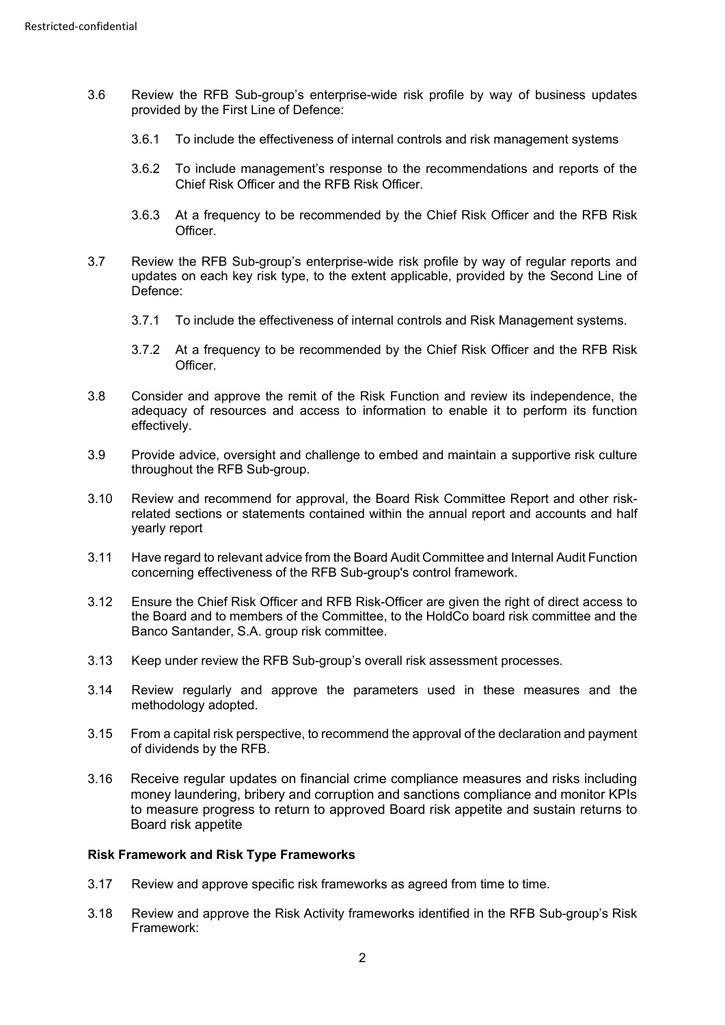- 3.6 Review the RFB Sub-group's enterprise-wide risk profile by way of business updates provided by the First Line of Defence:
	- 3.6.1 To include the effectiveness of internal controls and risk management systems
	- 3.6.2 To include management's response to the recommendations and reports of the Chief Risk Officer and the RFB Risk Officer.
	- 3.6.3 At a frequency to be recommended by the Chief Risk Officer and the RFB Risk Officer.
- 3.7 Review the RFB Sub-group's enterprise-wide risk profile by way of regular reports and updates on each key risk type, to the extent applicable, provided by the Second Line of Defence:
	- 3.7.1 To include the effectiveness of internal controls and Risk Management systems.
	- 3.7.2 At a frequency to be recommended by the Chief Risk Officer and the RFB Risk Officer.
- 3.8 Consider and approve the remit of the Risk Function and review its independence, the adequacy of resources and access to information to enable it to perform its function effectively.
- 3.9 Provide advice, oversight and challenge to embed and maintain a supportive risk culture throughout the RFB Sub-group.
- 3.10 Review and recommend for approval, the Board Risk Committee Report and other riskrelated sections or statements contained within the annual report and accounts and half yearly report
- 3.11 Have regard to relevant advice from the Board Audit Committee and Internal Audit Function concerning effectiveness of the RFB Sub-group's control framework.
- 3.12 Ensure the Chief Risk Officer and RFB Risk-Officer are given the right of direct access to the Board and to members of the Committee, to the HoldCo board risk committee and the Banco Santander, S.A. group risk committee.
- 3.13 Keep under review the RFB Sub-group's overall risk assessment processes.
- 3.14 Review regularly and approve the parameters used in these measures and the methodology adopted.
- 3.15 From a capital risk perspective, to recommend the approval of the declaration and payment of dividends by the RFB.
- 3.16 Receive regular updates on financial crime compliance measures and risks including money laundering, bribery and corruption and sanctions compliance and monitor KPIs to measure progress to return to approved Board risk appetite and sustain returns to Board risk appetite

### **Risk Framework and Risk Type Frameworks**

- 3.17 Review and approve specific risk frameworks as agreed from time to time.
- 3.18 Review and approve the Risk Activity frameworks identified in the RFB Sub-group's Risk Framework: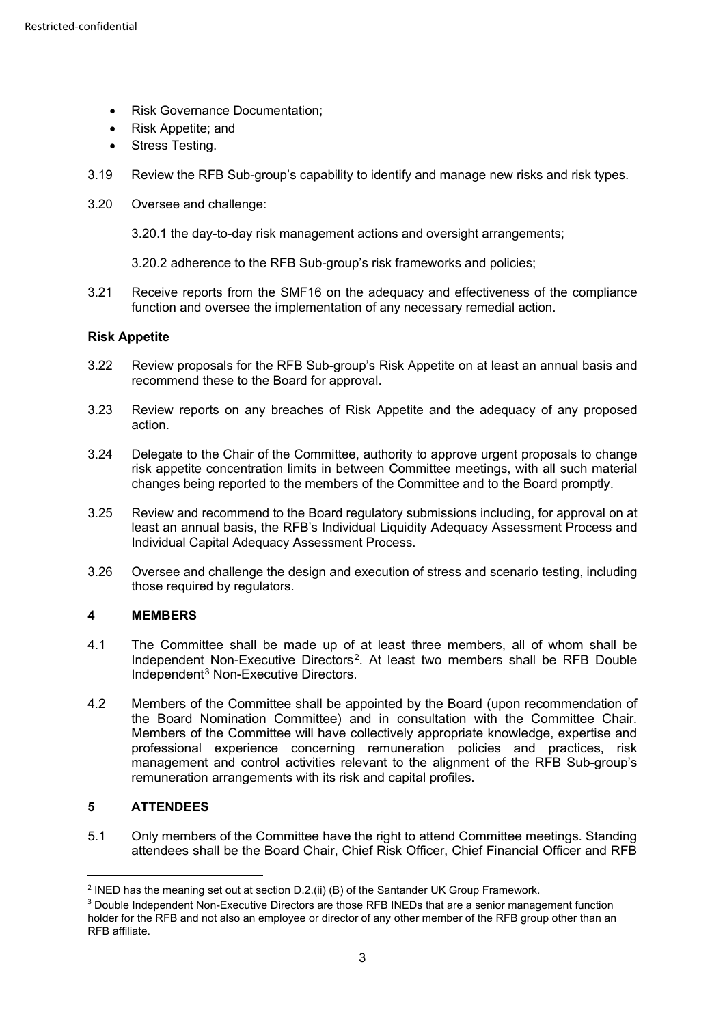- Risk Governance Documentation:
- Risk Appetite; and
- Stress Testing.
- 3.19 Review the RFB Sub-group's capability to identify and manage new risks and risk types.
- 3.20 Oversee and challenge:
	- 3.20.1 the day-to-day risk management actions and oversight arrangements;
	- 3.20.2 adherence to the RFB Sub-group's risk frameworks and policies;
- 3.21 Receive reports from the SMF16 on the adequacy and effectiveness of the compliance function and oversee the implementation of any necessary remedial action.

### **Risk Appetite**

- 3.22 Review proposals for the RFB Sub-group's Risk Appetite on at least an annual basis and recommend these to the Board for approval.
- 3.23 Review reports on any breaches of Risk Appetite and the adequacy of any proposed action.
- 3.24 Delegate to the Chair of the Committee, authority to approve urgent proposals to change risk appetite concentration limits in between Committee meetings, with all such material changes being reported to the members of the Committee and to the Board promptly.
- 3.25 Review and recommend to the Board regulatory submissions including, for approval on at least an annual basis, the RFB's Individual Liquidity Adequacy Assessment Process and Individual Capital Adequacy Assessment Process.
- 3.26 Oversee and challenge the design and execution of stress and scenario testing, including those required by regulators.

# **4 MEMBERS**

- 4.1 The Committee shall be made up of at least three members, all of whom shall be Independent Non-Executive Directors[2](#page-2-0). At least two members shall be RFB Double Independent[3](#page-2-1) Non-Executive Directors.
- 4.2 Members of the Committee shall be appointed by the Board (upon recommendation of the Board Nomination Committee) and in consultation with the Committee Chair. Members of the Committee will have collectively appropriate knowledge, expertise and professional experience concerning remuneration policies and practices, risk management and control activities relevant to the alignment of the RFB Sub-group's remuneration arrangements with its risk and capital profiles.

# **5 ATTENDEES**

5.1 Only members of the Committee have the right to attend Committee meetings. Standing attendees shall be the Board Chair, Chief Risk Officer, Chief Financial Officer and RFB

<span id="page-2-0"></span><sup>&</sup>lt;sup>2</sup> INED has the meaning set out at section D.2.(ii) (B) of the Santander UK Group Framework.

<span id="page-2-1"></span><sup>&</sup>lt;sup>3</sup> Double Independent Non-Executive Directors are those RFB INEDs that are a senior management function holder for the RFB and not also an employee or director of any other member of the RFB group other than an RFB affiliate.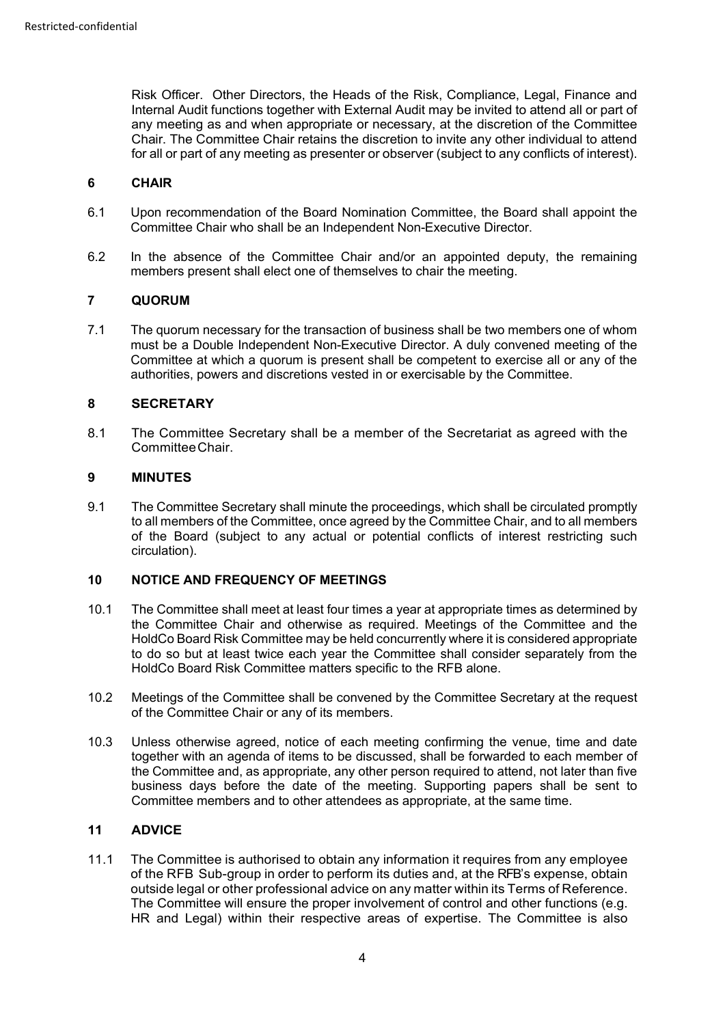Risk Officer. Other Directors, the Heads of the Risk, Compliance, Legal, Finance and Internal Audit functions together with External Audit may be invited to attend all or part of any meeting as and when appropriate or necessary, at the discretion of the Committee Chair. The Committee Chair retains the discretion to invite any other individual to attend for all or part of any meeting as presenter or observer (subject to any conflicts of interest).

### **6 CHAIR**

- 6.1 Upon recommendation of the Board Nomination Committee, the Board shall appoint the Committee Chair who shall be an Independent Non-Executive Director.
- 6.2 In the absence of the Committee Chair and/or an appointed deputy, the remaining members present shall elect one of themselves to chair the meeting.

# **7 QUORUM**

7.1 The quorum necessary for the transaction of business shall be two members one of whom must be a Double Independent Non-Executive Director. A duly convened meeting of the Committee at which a quorum is present shall be competent to exercise all or any of the authorities, powers and discretions vested in or exercisable by the Committee.

### **8 SECRETARY**

8.1 The Committee Secretary shall be a member of the Secretariat as agreed with the CommitteeChair.

## **9 MINUTES**

9.1 The Committee Secretary shall minute the proceedings, which shall be circulated promptly to all members of the Committee, once agreed by the Committee Chair, and to all members of the Board (subject to any actual or potential conflicts of interest restricting such circulation).

# **10 NOTICE AND FREQUENCY OF MEETINGS**

- 10.1 The Committee shall meet at least four times a year at appropriate times as determined by the Committee Chair and otherwise as required. Meetings of the Committee and the HoldCo Board Risk Committee may be held concurrently where it is considered appropriate to do so but at least twice each year the Committee shall consider separately from the HoldCo Board Risk Committee matters specific to the RFB alone.
- 10.2 Meetings of the Committee shall be convened by the Committee Secretary at the request of the Committee Chair or any of its members.
- 10.3 Unless otherwise agreed, notice of each meeting confirming the venue, time and date together with an agenda of items to be discussed, shall be forwarded to each member of the Committee and, as appropriate, any other person required to attend, not later than five business days before the date of the meeting. Supporting papers shall be sent to Committee members and to other attendees as appropriate, at the same time.

### **11 ADVICE**

11.1 The Committee is authorised to obtain any information it requires from any employee of the RFB Sub-group in order to perform its duties and, at the RFB's expense, obtain outside legal or other professional advice on any matter within its Terms of Reference. The Committee will ensure the proper involvement of control and other functions (e.g. HR and Legal) within their respective areas of expertise. The Committee is also